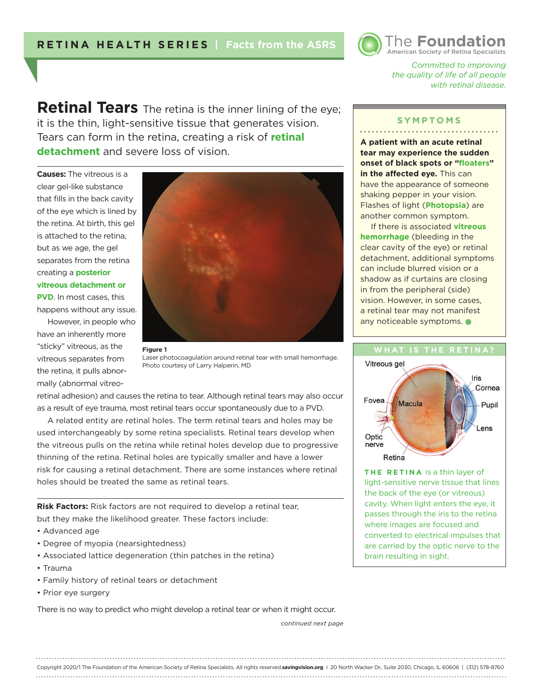

*Committed to improving the quality of life of all people with retinal disease.* 

**Retinal Tears** The retina is the inner lining of the eye; it is the thin, light-sensitive tissue that generates vision. Tears can form in the retina, creating a risk of **retinal detachment** and severe loss of vision.

**Causes:** The vitreous is a clear gel-like substance that fills in the back cavity of the eye which is lined by the retina. At birth, this gel is attached to the retina, but as we age, the gel separates from the retina creating a **posterior vitreous detachment or PVD**. In most cases, this happens without any issue.

However, in people who have an inherently more "sticky" vitreous, as the vitreous separates from the retina, it pulls abnormally (abnormal vitreo-



Laser photocoagulation around retinal tear with small hemorrhage. Photo courtesy of Larry Halperin, MD

retinal adhesion) and causes the retina to tear. Although retinal tears may also occur as a result of eye trauma, most retinal tears occur spontaneously due to a PVD.

A related entity are retinal holes. The term retinal tears and holes may be used interchangeably by some retina specialists. Retinal tears develop when the vitreous pulls on the retina while retinal holes develop due to progressive thinning of the retina. Retinal holes are typically smaller and have a lower risk for causing a retinal detachment. There are some instances where retinal holes should be treated the same as retinal tears.

**Risk Factors:** Risk factors are not required to develop a retinal tear, but they make the likelihood greater. These factors include:

- Advanced age
- Degree of myopia (nearsightedness)
- Associated lattice degeneration (thin patches in the retina)
- Trauma
- Family history of retinal tears or detachment
- Prior eye surgery

There is no way to predict who might develop a retinal tear or when it might occur.

*continued next page*

## **SYMPTOMS** . . . . . . . . . . . . . . . . . . . .

**A patient with an acute retinal tear may experience the sudden onset of black spots or "floaters" in the affected eye.** This can have the appearance of someone shaking pepper in your vision. Flashes of light (**Photopsia**) are another common symptom.

If there is associated **vitreous hemorrhage** (bleeding in the clear cavity of the eye) or retinal detachment, additional symptoms can include blurred vision or a shadow as if curtains are closing in from the peripheral (side) vision. However, in some cases, a retinal tear may not manifest any noticeable symptoms.



**THE RETINA** is a thin layer of light-sensitive nerve tissue that lines the back of the eye (or vitreous) cavity. When light enters the eye, it passes through the iris to the retina where images are focused and converted to electrical impulses that are carried by the optic nerve to the brain resulting in sight.

Copyright 2020/1 The Foundation of the American Society of Retina Specialists. All rights reserved.**savingvision.org** I 20 North Wacker Dr., Suite 2030, Chicago, IL 60606 | (312) 578-8760